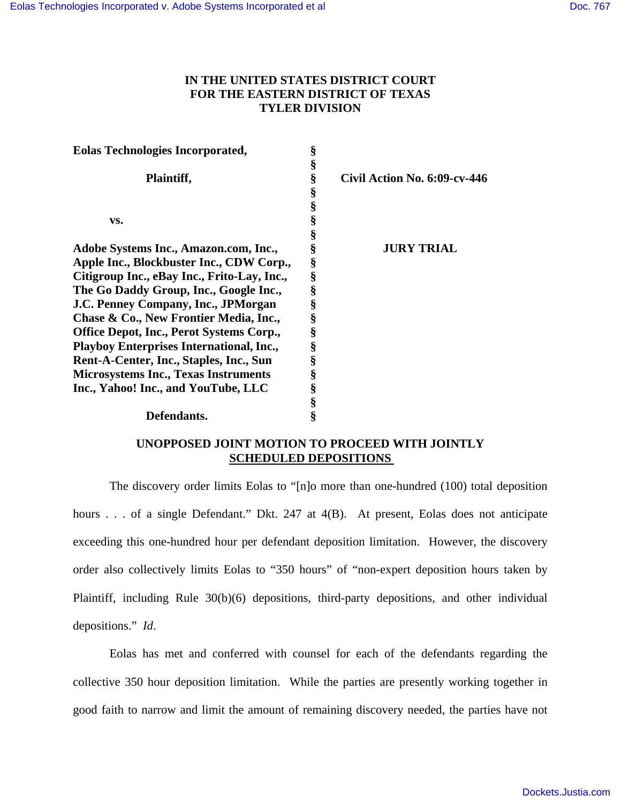# **IN THE UNITED STATES DISTRICT COURT FOR THE EASTERN DISTRICT OF TEXAS TYLER DIVISION**

| <b>Eolas Technologies Incorporated,</b>         | § |                              |
|-------------------------------------------------|---|------------------------------|
|                                                 | § |                              |
| Plaintiff,                                      | § | Civil Action No. 6:09-cv-446 |
|                                                 | § |                              |
|                                                 | § |                              |
| VS.                                             | § |                              |
|                                                 | § |                              |
| Adobe Systems Inc., Amazon.com, Inc.,           | § | <b>JURY TRIAL</b>            |
| Apple Inc., Blockbuster Inc., CDW Corp.,        | § |                              |
| Citigroup Inc., eBay Inc., Frito-Lay, Inc.,     | § |                              |
| The Go Daddy Group, Inc., Google Inc.,          | § |                              |
| J.C. Penney Company, Inc., JPMorgan             | § |                              |
| Chase & Co., New Frontier Media, Inc.,          | § |                              |
| <b>Office Depot, Inc., Perot Systems Corp.,</b> | § |                              |
| <b>Playboy Enterprises International, Inc.,</b> | § |                              |
| Rent-A-Center, Inc., Staples, Inc., Sun         | § |                              |
| <b>Microsystems Inc., Texas Instruments</b>     | § |                              |
| Inc., Yahoo! Inc., and YouTube, LLC             | § |                              |
|                                                 | § |                              |
| Defendants.                                     | § |                              |

# **UNOPPOSED JOINT MOTION TO PROCEED WITH JOINTLY SCHEDULED DEPOSITIONS**

The discovery order limits Eolas to "[n]o more than one-hundred (100) total deposition hours . . . of a single Defendant." Dkt. 247 at 4(B). At present, Eolas does not anticipate exceeding this one-hundred hour per defendant deposition limitation. However, the discovery order also collectively limits Eolas to "350 hours" of "non-expert deposition hours taken by Plaintiff, including Rule 30(b)(6) depositions, third-party depositions, and other individual depositions." *Id*.

Eolas has met and conferred with counsel for each of the defendants regarding the collective 350 hour deposition limitation. While the parties are presently working together in good faith to narrow and limit the amount of remaining discovery needed, the parties have not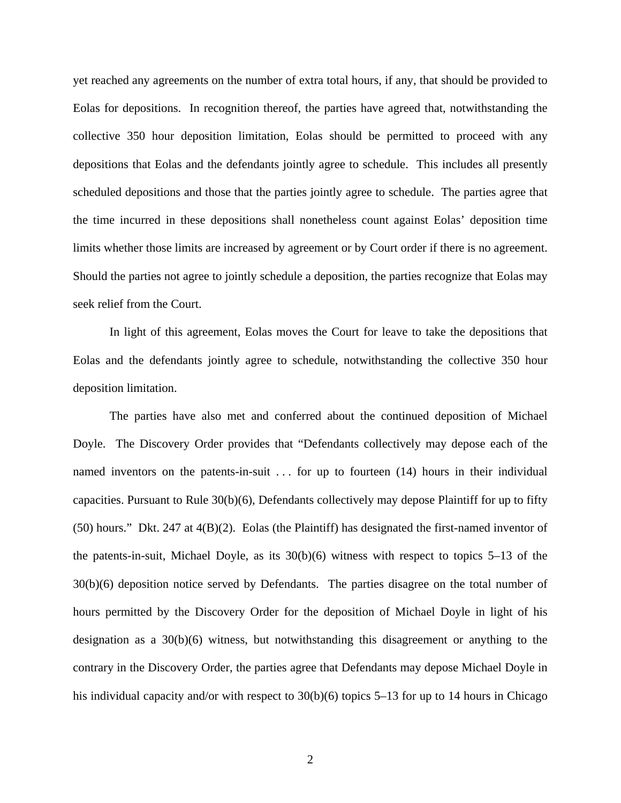yet reached any agreements on the number of extra total hours, if any, that should be provided to Eolas for depositions. In recognition thereof, the parties have agreed that, notwithstanding the collective 350 hour deposition limitation, Eolas should be permitted to proceed with any depositions that Eolas and the defendants jointly agree to schedule. This includes all presently scheduled depositions and those that the parties jointly agree to schedule. The parties agree that the time incurred in these depositions shall nonetheless count against Eolas' deposition time limits whether those limits are increased by agreement or by Court order if there is no agreement. Should the parties not agree to jointly schedule a deposition, the parties recognize that Eolas may seek relief from the Court.

In light of this agreement, Eolas moves the Court for leave to take the depositions that Eolas and the defendants jointly agree to schedule, notwithstanding the collective 350 hour deposition limitation.

The parties have also met and conferred about the continued deposition of Michael Doyle. The Discovery Order provides that "Defendants collectively may depose each of the named inventors on the patents-in-suit ... for up to fourteen (14) hours in their individual capacities. Pursuant to Rule 30(b)(6), Defendants collectively may depose Plaintiff for up to fifty (50) hours." Dkt. 247 at 4(B)(2). Eolas (the Plaintiff) has designated the first-named inventor of the patents-in-suit, Michael Doyle, as its  $30(b)(6)$  witness with respect to topics 5–13 of the 30(b)(6) deposition notice served by Defendants. The parties disagree on the total number of hours permitted by the Discovery Order for the deposition of Michael Doyle in light of his designation as a  $30(b)(6)$  witness, but notwithstanding this disagreement or anything to the contrary in the Discovery Order, the parties agree that Defendants may depose Michael Doyle in his individual capacity and/or with respect to  $30(b)(6)$  topics 5–13 for up to 14 hours in Chicago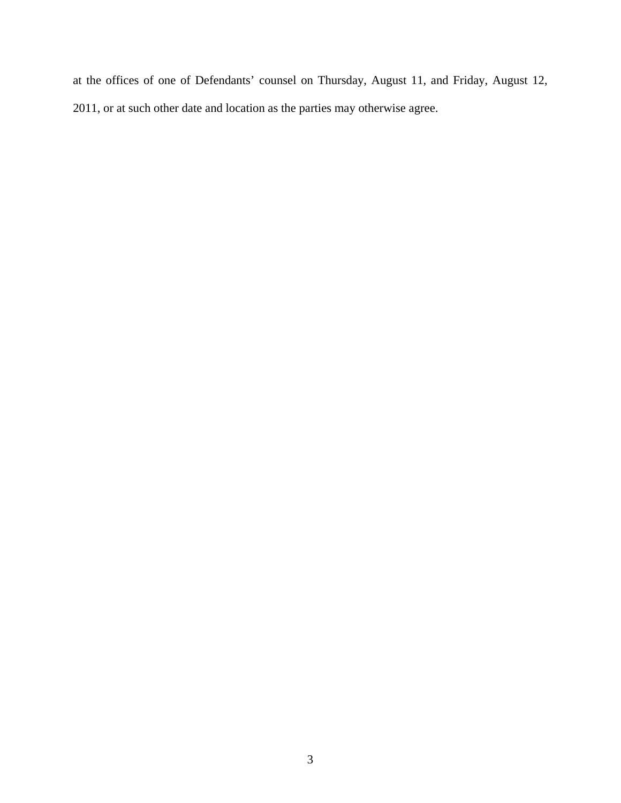at the offices of one of Defendants' counsel on Thursday, August 11, and Friday, August 12, 2011, or at such other date and location as the parties may otherwise agree.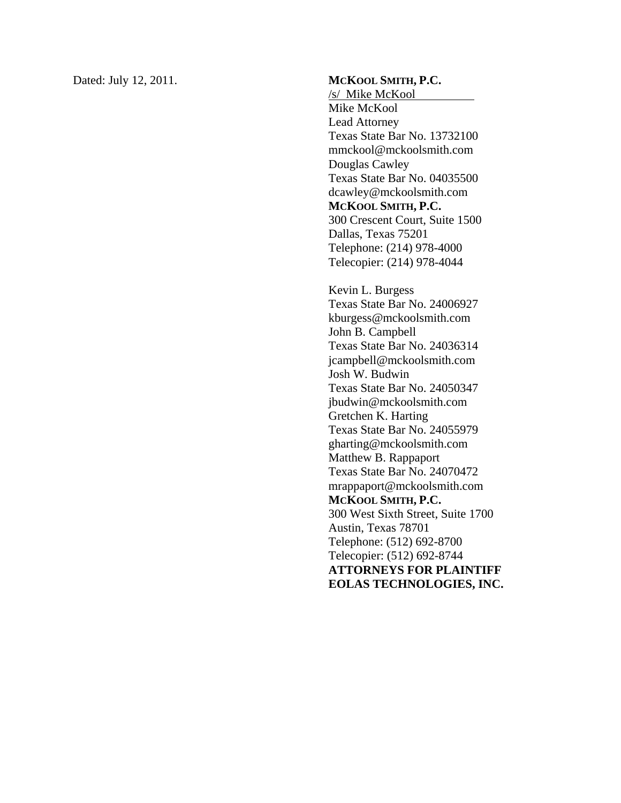Dated: July 12, 2011.

#### **M C KOOL SMITH , P.C.**

/s/ Mike McKool Mike McKool Lead Attorney Texas State Bar No. 13732100 mmckool@mckoolsmith.com Douglas Cawley Texas State Bar No. 04035500 dcawley@mckoolsmith.com **MCKOOL SMITH, P.C.**  300 Crescent Court, Suite 1500 Dallas, Texas 75201 Telephone: (214) 978-4000 Telecopier: (214) 978-4044

Kevin L. Burgess Texas State Bar No. 24006927 kburgess@mckoolsmith.com John B. Campbell Texas State Bar No. 24036314 jcampbell@mckoolsmith.com Josh W. Budwin Texas State Bar No. 24050347 jbudwin@mckoolsmith.com Gretchen K. Harting Texas State Bar No. 24055979 gharting@mckoolsmith.com Matthew B. Rappaport Texas State Bar No. 24070472 mrappaport@mckoolsmith.com **MCKOOL SMITH, P.C.**  300 West Sixth Street, Suite 1700 Austin, Texas 78701 Telephone: (512) 692-8700 Telecopier: (512) 692-8744 **ATTORNEYS FOR PLAINTIFF EOLAS TECHNOLOGIES, INC.**